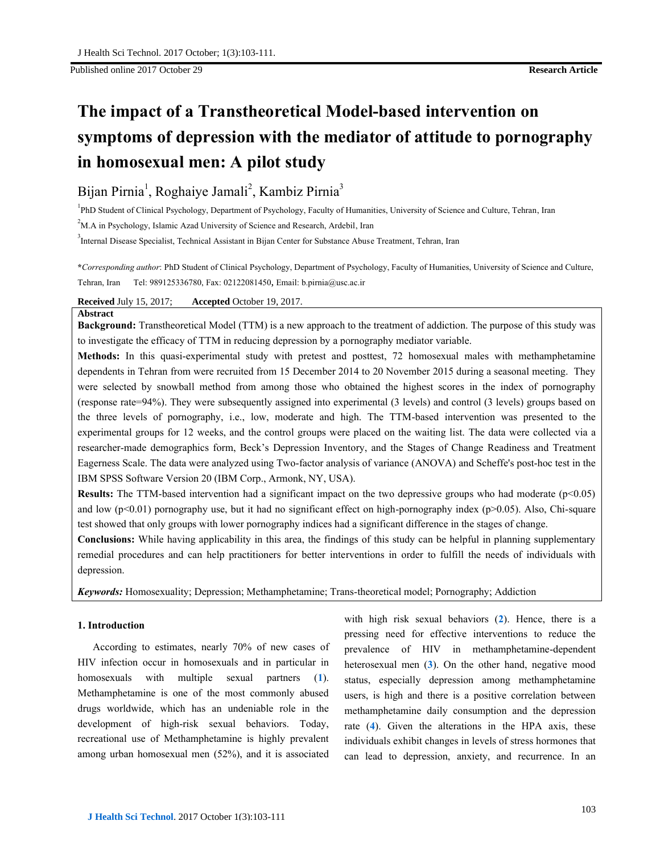# **The impact of a Transtheoretical Model-based intervention on symptoms of depression with the mediator of attitude to pornography in homosexual men: A pilot study**

# Bijan Pirnia<sup>1</sup>, Roghaiye Jamali<sup>2</sup>, Kambiz Pirnia<sup>3</sup>

<sup>1</sup>PhD Student of Clinical Psychology, Department of Psychology, Faculty of Humanities, University of Science and Culture, Tehran, Iran

 $2<sup>2</sup>$ M.A in Psychology, Islamic Azad University of Science and Research, Ardebil, Iran

3 Internal Disease Specialist, Technical Assistant in Bijan Center for Substance Abuse Treatment, Tehran, Iran

**\****Corresponding author*: PhD Student of Clinical Psychology, Department of Psychology, Faculty of Humanities, University of Science and Culture, Tehran, Iran Tel: 989125336780, Fax: 02122081450, Email: b.pirnia@usc.ac.ir

# **Received** July 15, 2017; **Accepted** October 19, 2017.

# **Abstract**

**Background:** Transtheoretical Model (TTM) is a new approach to the treatment of addiction. The purpose of this study was to investigate the efficacy of TTM in reducing depression by a pornography mediator variable.

**Methods:** In this quasi-experimental study with pretest and posttest, 72 homosexual males with methamphetamine dependents in Tehran from were recruited from 15 December 2014 to 20 November 2015 during a seasonal meeting. They were selected by snowball method from among those who obtained the highest scores in the index of pornography (response rate=94%). They were subsequently assigned into experimental (3 levels) and control (3 levels) groups based on the three levels of pornography, i.e., low, moderate and high. The TTM-based intervention was presented to the experimental groups for 12 weeks, and the control groups were placed on the waiting list. The data were collected via a researcher-made demographics form, Beck's Depression Inventory, and the Stages of Change Readiness and Treatment Eagerness Scale. The data were analyzed using Two-factor analysis of variance (ANOVA) and Scheffe's post-hoc test in the IBM SPSS Software Version 20 (IBM Corp., Armonk, NY, USA).

**Results:** The TTM-based intervention had a significant impact on the two depressive groups who had moderate  $(p<0.05)$ and low  $(p<0.01)$  pornography use, but it had no significant effect on high-pornography index  $(p>0.05)$ . Also, Chi-square test showed that only groups with lower pornography indices had a significant difference in the stages of change.

**Conclusions:** While having applicability in this area, the findings of this study can be helpful in planning supplementary remedial procedures and can help practitioners for better interventions in order to fulfill the needs of individuals with depression.

*Keywords:* Homosexuality; Depression; Methamphetamine; Trans-theoretical model; Pornography; Addiction

# **1. Introduction**

According to estimates, nearly 70% of new cases of HIV infection occur in homosexuals and in particular in homosexuals with multiple sexual partners (**1**). Methamphetamine is one of the most commonly abused drugs worldwide, which has an undeniable role in the development of high-risk sexual behaviors. Today, recreational use of Methamphetamine is highly prevalent among urban homosexual men (52%), and it is associated

with high risk sexual behaviors (**2**). Hence, there is a pressing need for effective interventions to reduce the prevalence of HIV in methamphetamine-dependent heterosexual men (**3**). On the other hand, negative mood status, especially depression among methamphetamine users, is high and there is a positive correlation between methamphetamine daily consumption and the depression rate (**4**). Given the alterations in the HPA axis, these individuals exhibit changes in levels of stress hormones that can lead to depression, anxiety, and recurrence. In an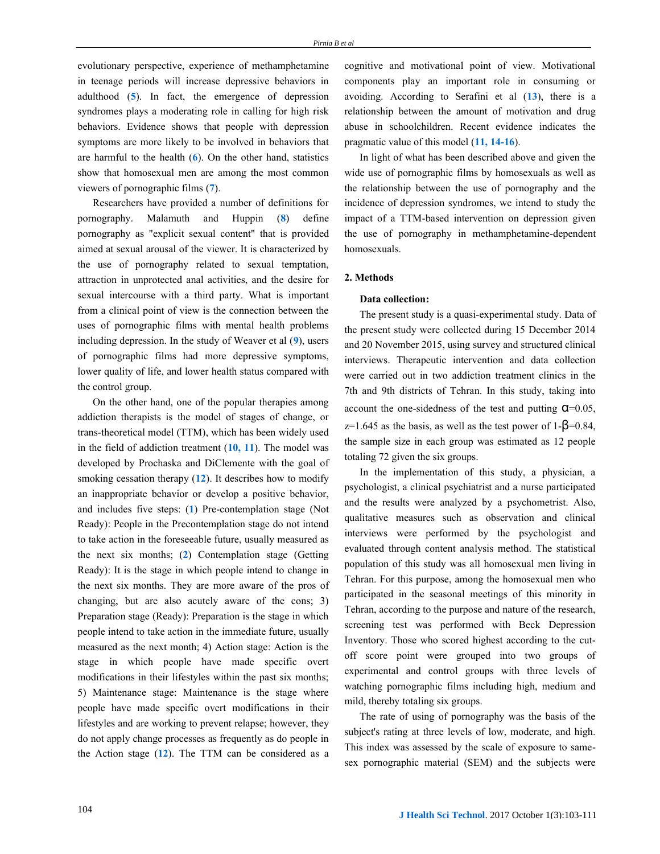evolutionary perspective, experience of methamphetamine in teenage periods will increase depressive behaviors in adulthood (**5**). In fact, the emergence of depression syndromes plays a moderating role in calling for high risk behaviors. Evidence shows that people with depression symptoms are more likely to be involved in behaviors that are harmful to the health (**6**). On the other hand, statistics show that homosexual men are among the most common viewers of pornographic films (**7**).

Researchers have provided a number of definitions for pornography. Malamuth and Huppin (**8**) define pornography as "explicit sexual content" that is provided aimed at sexual arousal of the viewer. It is characterized by the use of pornography related to sexual temptation, attraction in unprotected anal activities, and the desire for sexual intercourse with a third party. What is important from a clinical point of view is the connection between the uses of pornographic films with mental health problems including depression. In the study of Weaver et al (**9**), users of pornographic films had more depressive symptoms, lower quality of life, and lower health status compared with the control group.

On the other hand, one of the popular therapies among addiction therapists is the model of stages of change, or trans-theoretical model (TTM), which has been widely used in the field of addiction treatment (**10, 11**). The model was developed by Prochaska and DiClemente with the goal of smoking cessation therapy (**12**). It describes how to modify an inappropriate behavior or develop a positive behavior, and includes five steps: (**1**) Pre-contemplation stage (Not Ready): People in the Precontemplation stage do not intend to take action in the foreseeable future, usually measured as the next six months; (**2**) Contemplation stage (Getting Ready): It is the stage in which people intend to change in the next six months. They are more aware of the pros of changing, but are also acutely aware of the cons; 3) Preparation stage (Ready): Preparation is the stage in which people intend to take action in the immediate future, usually measured as the next month; 4) Action stage: Action is the stage in which people have made specific overt modifications in their lifestyles within the past six months; 5) Maintenance stage: Maintenance is the stage where people have made specific overt modifications in their lifestyles and are working to prevent relapse; however, they do not apply change processes as frequently as do people in the Action stage (**12**). The TTM can be considered as a cognitive and motivational point of view. Motivational components play an important role in consuming or avoiding. According to Serafini et al (**13**), there is a relationship between the amount of motivation and drug abuse in schoolchildren. Recent evidence indicates the pragmatic value of this model (**11, 14-16**).

In light of what has been described above and given the wide use of pornographic films by homosexuals as well as the relationship between the use of pornography and the incidence of depression syndromes, we intend to study the impact of a TTM-based intervention on depression given the use of pornography in methamphetamine-dependent homosexuals.

#### **2. Methods**

#### **Data collection:**

The present study is a quasi-experimental study. Data of the present study were collected during 15 December 2014 and 20 November 2015, using survey and structured clinical interviews. Therapeutic intervention and data collection were carried out in two addiction treatment clinics in the 7th and 9th districts of Tehran. In this study, taking into account the one-sidedness of the test and putting  $Q=0.05$ ,  $z=1.645$  as the basis, as well as the test power of 1- $\beta$ =0.84, the sample size in each group was estimated as 12 people totaling 72 given the six groups.

In the implementation of this study, a physician, a psychologist, a clinical psychiatrist and a nurse participated and the results were analyzed by a psychometrist. Also, qualitative measures such as observation and clinical interviews were performed by the psychologist and evaluated through content analysis method. The statistical population of this study was all homosexual men living in Tehran. For this purpose, among the homosexual men who participated in the seasonal meetings of this minority in Tehran, according to the purpose and nature of the research, screening test was performed with Beck Depression Inventory. Those who scored highest according to the cutoff score point were grouped into two groups of experimental and control groups with three levels of watching pornographic films including high, medium and mild, thereby totaling six groups.

The rate of using of pornography was the basis of the subject's rating at three levels of low, moderate, and high. This index was assessed by the scale of exposure to samesex pornographic material (SEM) and the subjects were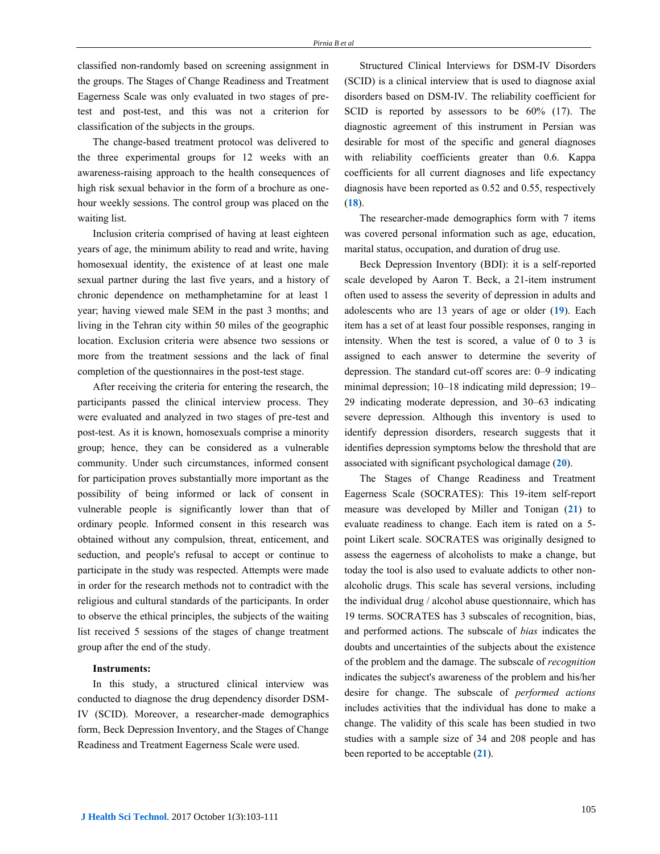classified non-randomly based on screening assignment in the groups. The Stages of Change Readiness and Treatment Eagerness Scale was only evaluated in two stages of pretest and post-test, and this was not a criterion for classification of the subjects in the groups.

The change-based treatment protocol was delivered to the three experimental groups for 12 weeks with an awareness-raising approach to the health consequences of high risk sexual behavior in the form of a brochure as onehour weekly sessions. The control group was placed on the waiting list.

Inclusion criteria comprised of having at least eighteen years of age, the minimum ability to read and write, having homosexual identity, the existence of at least one male sexual partner during the last five years, and a history of chronic dependence on methamphetamine for at least 1 year; having viewed male SEM in the past 3 months; and living in the Tehran city within 50 miles of the geographic location. Exclusion criteria were absence two sessions or more from the treatment sessions and the lack of final completion of the questionnaires in the post-test stage.

After receiving the criteria for entering the research, the participants passed the clinical interview process. They were evaluated and analyzed in two stages of pre-test and post-test. As it is known, homosexuals comprise a minority group; hence, they can be considered as a vulnerable community. Under such circumstances, informed consent for participation proves substantially more important as the possibility of being informed or lack of consent in vulnerable people is significantly lower than that of ordinary people. Informed consent in this research was obtained without any compulsion, threat, enticement, and seduction, and people's refusal to accept or continue to participate in the study was respected. Attempts were made in order for the research methods not to contradict with the religious and cultural standards of the participants. In order to observe the ethical principles, the subjects of the waiting list received 5 sessions of the stages of change treatment group after the end of the study.

# **Instruments:**

In this study, a structured clinical interview was conducted to diagnose the drug dependency disorder DSM-IV (SCID). Moreover, a researcher-made demographics form, Beck Depression Inventory, and the Stages of Change Readiness and Treatment Eagerness Scale were used.

Structured Clinical Interviews for DSM-IV Disorders (SCID) is a clinical interview that is used to diagnose axial disorders based on DSM-IV. The reliability coefficient for SCID is reported by assessors to be 60% (17). The diagnostic agreement of this instrument in Persian was desirable for most of the specific and general diagnoses with reliability coefficients greater than 0.6. Kappa coefficients for all current diagnoses and life expectancy diagnosis have been reported as 0.52 and 0.55, respectively (**18**).

The researcher-made demographics form with 7 items was covered personal information such as age, education, marital status, occupation, and duration of drug use.

Beck Depression Inventory (BDI): it is a self-reported scale developed by [Aaron T. Beck,](https://en.wikipedia.org/wiki/Aaron_T._Beck) a 21-item instrument often used to assess the severity of depression in adults and adolescents who are 13 years of age or older (**19**). Each item has a set of at least four possible responses, ranging in intensity. When the test is scored, a value of 0 to 3 is assigned to each answer to determine the severity of depression. The standard cut-off scores are: 0–9 indicating minimal depression; 10–18 indicating mild depression; 19– 29 indicating moderate depression, and 30–63 indicating severe depression. Although this inventory is used to identify depression disorders, research suggests that it identifies depression symptoms below the threshold that are associated with significant psychological damage (**20**).

The Stages of Change Readiness and Treatment Eagerness Scale (SOCRATES): This 19-item self-report measure was developed by Miller and Tonigan (**21**) to evaluate readiness to change. Each item is rated on a 5 point Likert scale. SOCRATES was originally designed to assess the eagerness of alcoholists to make a change, but today the tool is also used to evaluate addicts to other nonalcoholic drugs. This scale has several versions, including the individual drug / alcohol abuse questionnaire, which has 19 terms. SOCRATES has 3 subscales of recognition, bias, and performed actions. The subscale of *bias* indicates the doubts and uncertainties of the subjects about the existence of the problem and the damage. The subscale of *recognition* indicates the subject's awareness of the problem and his/her desire for change. The subscale of *performed actions* includes activities that the individual has done to make a change. The validity of this scale has been studied in two studies with a sample size of 34 and 208 people and has been reported to be acceptable (**21**).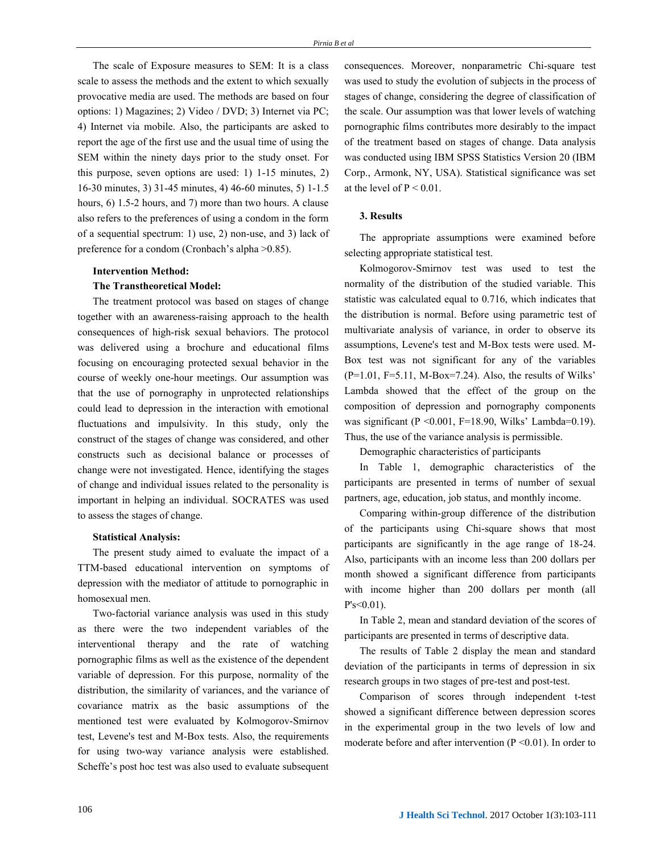The scale of Exposure measures to SEM: It is a class scale to assess the methods and the extent to which sexually provocative media are used. The methods are based on four options: 1) Magazines; 2) Video / DVD; 3) Internet via PC; 4) Internet via mobile. Also, the participants are asked to report the age of the first use and the usual time of using the SEM within the ninety days prior to the study onset. For this purpose, seven options are used: 1) 1-15 minutes, 2) 16-30 minutes, 3) 31-45 minutes, 4) 46-60 minutes, 5) 1-1.5 hours, 6) 1.5-2 hours, and 7) more than two hours. A clause also refers to the preferences of using a condom in the form of a sequential spectrum: 1) use, 2) non-use, and 3) lack of preference for a condom (Cronbach's alpha >0.85).

#### **Intervention Method:**

#### **The Transtheoretical Model:**

The treatment protocol was based on stages of change together with an awareness-raising approach to the health consequences of high-risk sexual behaviors. The protocol was delivered using a brochure and educational films focusing on encouraging protected sexual behavior in the course of weekly one-hour meetings. Our assumption was that the use of pornography in unprotected relationships could lead to depression in the interaction with emotional fluctuations and impulsivity. In this study, only the construct of the stages of change was considered, and other constructs such as decisional balance or processes of change were not investigated. Hence, identifying the stages of change and individual issues related to the personality is important in helping an individual. SOCRATES was used to assess the stages of change.

#### **Statistical Analysis:**

The present study aimed to evaluate the impact of a TTM-based educational intervention on symptoms of depression with the mediator of attitude to pornographic in homosexual men.

Two-factorial variance analysis was used in this study as there were the two independent variables of the interventional therapy and the rate of watching pornographic films as well as the existence of the dependent variable of depression. For this purpose, normality of the distribution, the similarity of variances, and the variance of covariance matrix as the basic assumptions of the mentioned test were evaluated by Kolmogorov-Smirnov test, Levene's test and M-Box tests. Also, the requirements for using two-way variance analysis were established. Scheffe's post hoc test was also used to evaluate subsequent consequences. Moreover, nonparametric Chi-square test was used to study the evolution of subjects in the process of stages of change, considering the degree of classification of the scale. Our assumption was that lower levels of watching pornographic films contributes more desirably to the impact of the treatment based on stages of change. Data analysis was conducted using IBM SPSS Statistics Version 20 (IBM Corp., Armonk, NY, USA). Statistical significance was set at the level of  $P \le 0.01$ .

# **3. Results**

The appropriate assumptions were examined before selecting appropriate statistical test.

Kolmogorov-Smirnov test was used to test the normality of the distribution of the studied variable. This statistic was calculated equal to 0.716, which indicates that the distribution is normal. Before using parametric test of multivariate analysis of variance, in order to observe its assumptions, Levene's test and M-Box tests were used. M-Box test was not significant for any of the variables  $(P=1.01, F=5.11, M-Box=7.24)$ . Also, the results of Wilks' Lambda showed that the effect of the group on the composition of depression and pornography components was significant (P < 0.001, F = 18.90, Wilks' Lambda=0.19). Thus, the use of the variance analysis is permissible.

Demographic characteristics of participants

In Table 1, demographic characteristics of the participants are presented in terms of number of sexual partners, age, education, job status, and monthly income.

Comparing within-group difference of the distribution of the participants using Chi-square shows that most participants are significantly in the age range of 18-24. Also, participants with an income less than 200 dollars per month showed a significant difference from participants with income higher than 200 dollars per month (all  $P's < 0.01$ ).

In Table 2, mean and standard deviation of the scores of participants are presented in terms of descriptive data.

The results of Table 2 display the mean and standard deviation of the participants in terms of depression in six research groups in two stages of pre-test and post-test.

Comparison of scores through independent t-test showed a significant difference between depression scores in the experimental group in the two levels of low and moderate before and after intervention ( $P \le 0.01$ ). In order to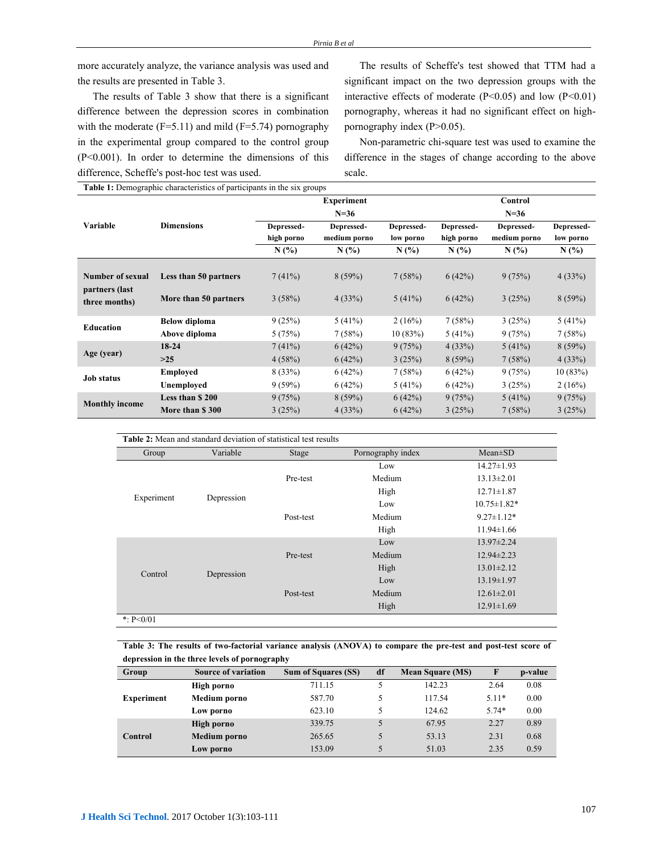more accurately analyze, the variance analysis was used and the results are presented in Table 3.

The results of Table 3 show that there is a significant difference between the depression scores in combination with the moderate  $(F=5.11)$  and mild  $(F=5.74)$  pornography in the experimental group compared to the control group (P<0.001). In order to determine the dimensions of this difference, Scheffe's post-hoc test was used.

The results of Scheffe's test showed that TTM had a significant impact on the two depression groups with the interactive effects of moderate  $(P<0.05)$  and low  $(P<0.01)$ pornography, whereas it had no significant effect on highpornography index (P>0.05).

Non-parametric chi-square test was used to examine the difference in the stages of change according to the above scale.

**Table 1:** Demographic characteristics of participants in the six groups

|                       | <b>Taste 11 Benicklupine enuruousities of participants in the six kroups</b> | <b>Experiment</b>        |                            |                         | Control                  |                            |                         |
|-----------------------|------------------------------------------------------------------------------|--------------------------|----------------------------|-------------------------|--------------------------|----------------------------|-------------------------|
|                       |                                                                              |                          | $N = 36$                   |                         | $N = 36$                 |                            |                         |
| Variable              | <b>Dimensions</b>                                                            | Depressed-<br>high porno | Depressed-<br>medium porno | Depressed-<br>low porno | Depressed-<br>high porno | Depressed-<br>medium porno | Depressed-<br>low porno |
|                       |                                                                              | N(%)                     | $N(\%)$                    | $N(\%)$                 | N(%)                     | $N(\%)$                    | $N(\%)$                 |
|                       |                                                                              |                          |                            |                         |                          |                            |                         |
| Number of sexual      | Less than 50 partners                                                        | 7(41%)                   | 8(59%)                     | 7(58%)                  | 6(42%)                   | 9(75%)                     | 4(33%)                  |
| partners (last        |                                                                              |                          |                            |                         |                          |                            |                         |
| three months)         | More than 50 partners                                                        | 3(58%)                   | 4(33%)                     | 5(41%)                  | 6(42%)                   | 3(25%)                     | 8(59%)                  |
|                       |                                                                              |                          |                            |                         |                          |                            |                         |
| Education             | <b>Below diploma</b>                                                         | 9(25%)                   | 5(41%)                     | 2(16%)                  | 7(58%)                   | 3(25%)                     | 5(41%)                  |
|                       | Above diploma                                                                | 5(75%)                   | 7(58%)                     | 10(83%)                 | 5(41%)                   | 9(75%)                     | 7(58%)                  |
| Age (year)            | 18-24                                                                        | 7(41%)                   | 6(42%)                     | 9(75%)                  | 4(33%)                   | 5(41%)                     | 8(59%)                  |
|                       | $>25$                                                                        | 4(58%)                   | 6(42%)                     | 3(25%)                  | 8(59%)                   | 7(58%)                     | 4(33%)                  |
| <b>Job status</b>     | <b>Employed</b>                                                              | 8(33%)                   | 6(42%)                     | 7(58%)                  | 6(42%)                   | 9(75%)                     | 10(83%)                 |
|                       | Unemployed                                                                   | $9(59\%)$                | 6(42%)                     | 5(41%)                  | 6(42%)                   | 3(25%)                     | 2(16%)                  |
| <b>Monthly income</b> | Less than \$200                                                              | 9(75%)                   | 8(59%)                     | 6(42%)                  | 9(75%)                   | 5(41%)                     | 9(75%)                  |
|                       | More than \$300                                                              | 3(25%)                   | 4(33%)                     | 6(42%)                  | 3(25%)                   | 7(58%)                     | 3(25%)                  |

| <b>Table 2:</b> Mean and standard deviation of statistical test results |            |           |                                    |                   |  |  |
|-------------------------------------------------------------------------|------------|-----------|------------------------------------|-------------------|--|--|
| Group                                                                   | Variable   | Stage     | Pornography index<br>$Mean \pm SD$ |                   |  |  |
|                                                                         | Depression | Pre-test  | Low                                | $14.27 \pm 1.93$  |  |  |
|                                                                         |            |           | Medium                             | $13.13 \pm 2.01$  |  |  |
|                                                                         |            |           | High                               | $12.71 \pm 1.87$  |  |  |
| Experiment                                                              |            | Post-test | Low                                | $10.75 \pm 1.82*$ |  |  |
|                                                                         |            |           | Medium                             | $9.27 \pm 1.12*$  |  |  |
|                                                                         |            |           | High                               | $11.94 \pm 1.66$  |  |  |
|                                                                         | Depression | Pre-test  | Low                                | $13.97 \pm 2.24$  |  |  |
|                                                                         |            |           | Medium                             | $12.94 \pm 2.23$  |  |  |
| Control                                                                 |            |           | High                               | $13.01 \pm 2.12$  |  |  |
|                                                                         |            | Post-test | Low                                | $13.19 \pm 1.97$  |  |  |
|                                                                         |            |           | Medium                             | $12.61 \pm 2.01$  |  |  |
|                                                                         |            |           | High                               | $12.91 \pm 1.69$  |  |  |
| *: $P < 0/01$                                                           |            |           |                                    |                   |  |  |

**Table 3: The results of two-factorial variance analysis (ANOVA) to compare the pre-test and post-test score of depression in the three levels of pornography**

| Group             | Source of variation | <b>Sum of Squares (SS)</b> | df | <b>Mean Square (MS)</b> | F       | p-value |
|-------------------|---------------------|----------------------------|----|-------------------------|---------|---------|
|                   | High porno          | 711.15                     |    | 142.23                  | 2.64    | 0.08    |
| <b>Experiment</b> | Medium porno        | 587.70                     |    | 117.54                  | $5.11*$ | 0.00    |
|                   | Low porno           | 623.10                     | 5  | 124.62                  | $5.74*$ | 0.00    |
| Control           | <b>High porno</b>   | 339.75                     | 5  | 67.95                   | 2.27    | 0.89    |
|                   | <b>Medium</b> porno | 265.65                     |    | 53.13                   | 2.31    | 0.68    |
|                   | Low porno           | 153.09                     | 5  | 51.03                   | 2.35    | 0.59    |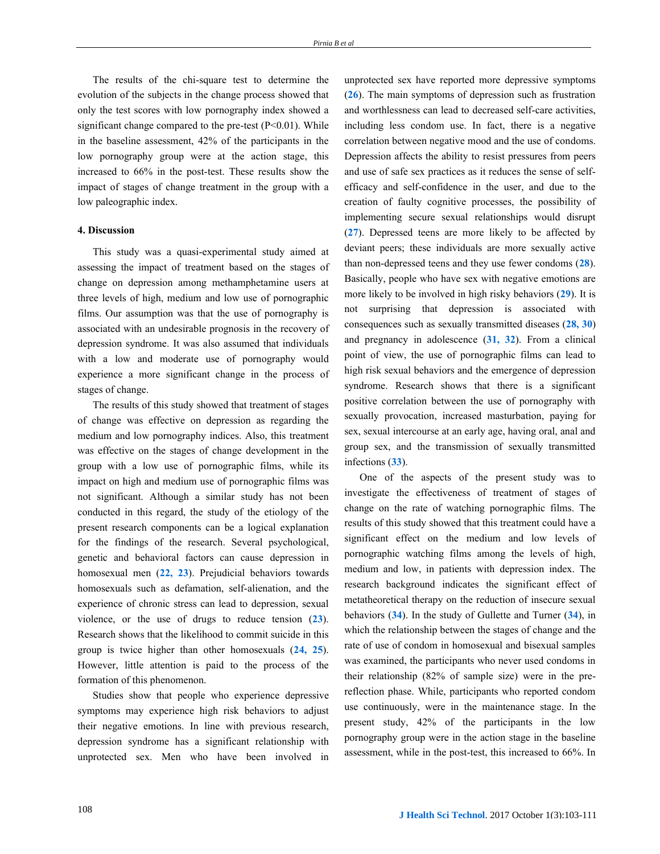The results of the chi-square test to determine the evolution of the subjects in the change process showed that only the test scores with low pornography index showed a significant change compared to the pre-test  $(P<0.01)$ . While in the baseline assessment, 42% of the participants in the low pornography group were at the action stage, this increased to 66% in the post-test. These results show the impact of stages of change treatment in the group with a low paleographic index.

#### **4. Discussion**

This study was a quasi-experimental study aimed at assessing the impact of treatment based on the stages of change on depression among methamphetamine users at three levels of high, medium and low use of pornographic films. Our assumption was that the use of pornography is associated with an undesirable prognosis in the recovery of depression syndrome. It was also assumed that individuals with a low and moderate use of pornography would experience a more significant change in the process of stages of change.

The results of this study showed that treatment of stages of change was effective on depression as regarding the medium and low pornography indices. Also, this treatment was effective on the stages of change development in the group with a low use of pornographic films, while its impact on high and medium use of pornographic films was not significant. Although a similar study has not been conducted in this regard, the study of the etiology of the present research components can be a logical explanation for the findings of the research. Several psychological, genetic and behavioral factors can cause depression in homosexual men (**22, 23**). Prejudicial behaviors towards homosexuals such as defamation, self-alienation, and the experience of chronic stress can lead to depression, sexual violence, or the use of drugs to reduce tension (**23**). Research shows that the likelihood to commit suicide in this group is twice higher than other homosexuals (**24, 25**). However, little attention is paid to the process of the formation of this phenomenon.

Studies show that people who experience depressive symptoms may experience high risk behaviors to adjust their negative emotions. In line with previous research, depression syndrome has a significant relationship with unprotected sex. Men who have been involved in unprotected sex have reported more depressive symptoms (**26**). The main symptoms of depression such as frustration and worthlessness can lead to decreased self-care activities, including less condom use. In fact, there is a negative correlation between negative mood and the use of condoms. Depression affects the ability to resist pressures from peers and use of safe sex practices as it reduces the sense of selfefficacy and self-confidence in the user, and due to the creation of faulty cognitive processes, the possibility of implementing secure sexual relationships would disrupt (**27**). Depressed teens are more likely to be affected by deviant peers; these individuals are more sexually active than non-depressed teens and they use fewer condoms (**28**). Basically, people who have sex with negative emotions are more likely to be involved in high risky behaviors (**29**). It is not surprising that depression is associated with consequences such as sexually transmitted diseases (**28, 30**) and pregnancy in adolescence (**31, 32**). From a clinical point of view, the use of pornographic films can lead to high risk sexual behaviors and the emergence of depression syndrome. Research shows that there is a significant positive correlation between the use of pornography with sexually provocation, increased masturbation, paying for sex, sexual intercourse at an early age, having oral, anal and group sex, and the transmission of sexually transmitted infections (**33**).

One of the aspects of the present study was to investigate the effectiveness of treatment of stages of change on the rate of watching pornographic films. The results of this study showed that this treatment could have a significant effect on the medium and low levels of pornographic watching films among the levels of high, medium and low, in patients with depression index. The research background indicates the significant effect of metatheoretical therapy on the reduction of insecure sexual behaviors (**34**). In the study of Gullette and Turner (**34**), in which the relationship between the stages of change and the rate of use of condom in homosexual and bisexual samples was examined, the participants who never used condoms in their relationship (82% of sample size) were in the prereflection phase. While, participants who reported condom use continuously, were in the maintenance stage. In the present study, 42% of the participants in the low pornography group were in the action stage in the baseline assessment, while in the post-test, this increased to 66%. In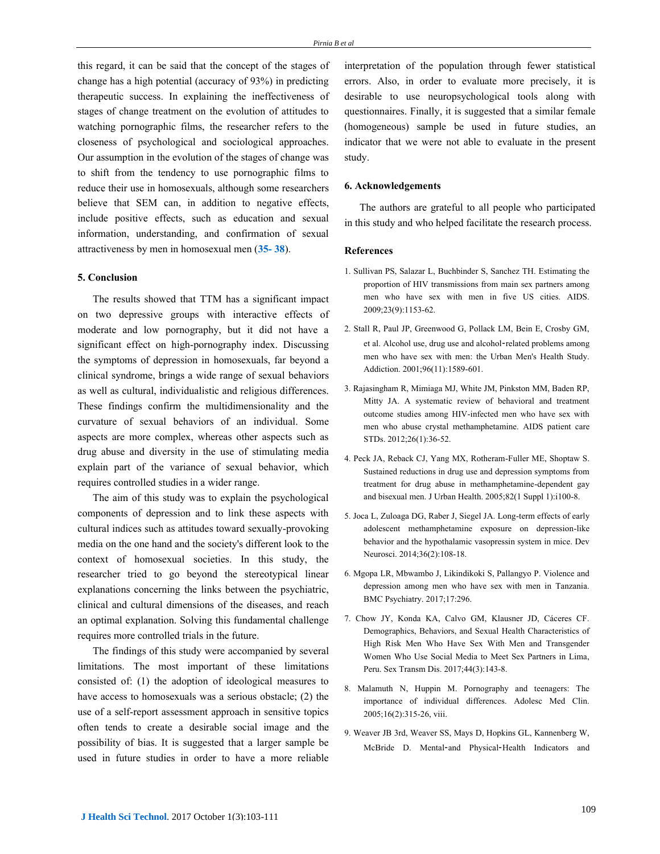this regard, it can be said that the concept of the stages of change has a high potential (accuracy of 93%) in predicting therapeutic success. In explaining the ineffectiveness of stages of change treatment on the evolution of attitudes to watching pornographic films, the researcher refers to the closeness of psychological and sociological approaches. Our assumption in the evolution of the stages of change was to shift from the tendency to use pornographic films to reduce their use in homosexuals, although some researchers believe that SEM can, in addition to negative effects, include positive effects, such as education and sexual information, understanding, and confirmation of sexual attractiveness by men in homosexual men (**35- 38**).

#### **5. Conclusion**

The results showed that TTM has a significant impact on two depressive groups with interactive effects of moderate and low pornography, but it did not have a significant effect on high-pornography index. Discussing the symptoms of depression in homosexuals, far beyond a clinical syndrome, brings a wide range of sexual behaviors as well as cultural, individualistic and religious differences. These findings confirm the multidimensionality and the curvature of sexual behaviors of an individual. Some aspects are more complex, whereas other aspects such as drug abuse and diversity in the use of stimulating media explain part of the variance of sexual behavior, which requires controlled studies in a wider range.

The aim of this study was to explain the psychological components of depression and to link these aspects with cultural indices such as attitudes toward sexually-provoking media on the one hand and the society's different look to the context of homosexual societies. In this study, the researcher tried to go beyond the stereotypical linear explanations concerning the links between the psychiatric, clinical and cultural dimensions of the diseases, and reach an optimal explanation. Solving this fundamental challenge requires more controlled trials in the future.

The findings of this study were accompanied by several limitations. The most important of these limitations consisted of: (1) the adoption of ideological measures to have access to homosexuals was a serious obstacle; (2) the use of a self-report assessment approach in sensitive topics often tends to create a desirable social image and the possibility of bias. It is suggested that a larger sample be used in future studies in order to have a more reliable

interpretation of the population through fewer statistical errors. Also, in order to evaluate more precisely, it is desirable to use neuropsychological tools along with questionnaires. Finally, it is suggested that a similar female (homogeneous) sample be used in future studies, an indicator that we were not able to evaluate in the present study.

#### **6. Acknowledgements**

The authors are grateful to all people who participated in this study and who helped facilitate the research process.

# **References**

- 1. Sullivan PS, Salazar L, Buchbinder S, Sanchez TH. Estimating the proportion of HIV transmissions from main sex partners among men who have sex with men in five US cities. AIDS. 2009;23(9):1153-62.
- 2. Stall R, Paul JP, Greenwood G, Pollack LM, Bein E, Crosby GM, et al. Alcohol use, drug use and alcohol‐related problems among men who have sex with men: the Urban Men's Health Study. Addiction. 2001;96(11):1589-601.
- 3. Rajasingham R, Mimiaga MJ, White JM, Pinkston MM, Baden RP, Mitty JA. A systematic review of behavioral and treatment outcome studies among HIV-infected men who have sex with men who abuse crystal methamphetamine. AIDS patient care STDs. 2012;26(1):36-52.
- 4. Peck JA, Reback CJ, Yang MX, Rotheram-Fuller ME, Shoptaw S. Sustained reductions in drug use and depression symptoms from treatment for drug abuse in methamphetamine-dependent gay and bisexual men. J Urban Health. 2005;82(1 Suppl 1):i100-8.
- 5. Joca L, Zuloaga DG, Raber J, Siegel JA. Long-term effects of early adolescent methamphetamine exposure on depression-like behavior and the hypothalamic vasopressin system in mice. Dev Neurosci. 2014;36(2):108-18.
- 6. Mgopa LR, Mbwambo J, Likindikoki S, Pallangyo P. Violence and depression among men who have sex with men in Tanzania. BMC Psychiatry. 2017;17:296.
- 7. Chow JY, Konda KA, Calvo GM, Klausner JD, Cáceres CF. Demographics, Behaviors, and Sexual Health Characteristics of High Risk Men Who Have Sex With Men and Transgender Women Who Use Social Media to Meet Sex Partners in Lima, Peru[. Sex Transm Dis.](https://www.ncbi.nlm.nih.gov/pubmed/28178111) 2017;44(3):143-8.
- 8. Malamuth N, Huppin M. Pornography and teenagers: The importance of individual differences. Adolesc Med Clin. 2005;16(2):315-26, viii.
- 9. Weaver JB 3rd, Weaver SS, Mays D, Hopkins GL, Kannenberg W, McBride D. Mental‐and Physical‐Health Indicators and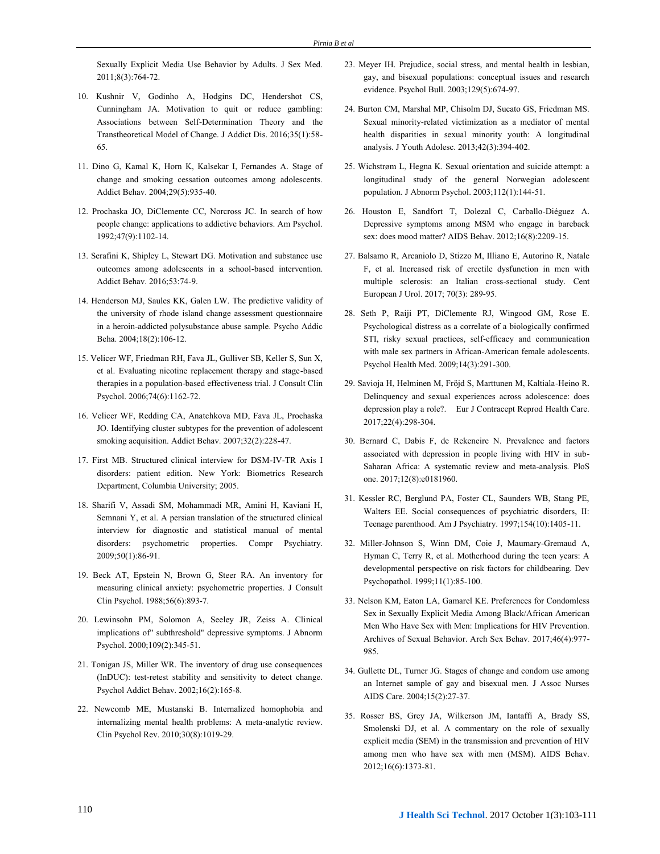Sexually Explicit Media Use Behavior by Adults. J Sex Med. 2011;8(3):764-72.

- 10. Kushnir V, Godinho A, Hodgins DC, Hendershot CS, Cunningham JA. Motivation to quit or reduce gambling: Associations between Self-Determination Theory and the Transtheoretical Model of Change. J Addict Dis. 2016;35(1):58- 65.
- 11. Dino G, Kamal K, Horn K, Kalsekar I, Fernandes A. Stage of change and smoking cessation outcomes among adolescents. Addict Behav. 2004;29(5):935-40.
- 12. Prochaska JO, DiClemente CC, Norcross JC. In search of how people change: applications to addictive behaviors. Am Psychol. 1992;47(9):1102-14.
- 13. Serafini K, Shipley L, Stewart DG. Motivation and substance use outcomes among adolescents in a school-based intervention. Addict Behav. 2016;53:74-9.
- 14. Henderson MJ, Saules KK, Galen LW. The predictive validity of the university of rhode island change assessment questionnaire in a heroin-addicted polysubstance abuse sample. Psycho Addic Beha. 2004;18(2):106-12.
- 15. Velicer WF, Friedman RH, Fava JL, Gulliver SB, Keller S, Sun X, et al. Evaluating nicotine replacement therapy and stage-based therapies in a population-based effectiveness trial. J Consult Clin Psychol. 2006;74(6):1162-72.
- 16. Velicer WF, Redding CA, Anatchkova MD, Fava JL, Prochaska JO. Identifying cluster subtypes for the prevention of adolescent smoking acquisition. Addict Behav. 2007;32(2):228-47.
- 17. First MB. Structured clinical interview for DSM-IV-TR Axis I disorders: patient edition. New York: Biometrics Research Department, Columbia University; 2005.
- 18. Sharifi V, Assadi SM, Mohammadi MR, Amini H, Kaviani H, Semnani Y, et al. A persian translation of the structured clinical interview for diagnostic and statistical manual of mental disorders: psychometric properties. Compr Psychiatry. 2009;50(1):86-91.
- 19. Beck AT, Epstein N, Brown G, Steer RA. An inventory for measuring clinical anxiety: psychometric properties. J Consult Clin Psychol. 1988;56(6):893-7.
- 20. Lewinsohn PM, Solomon A, Seeley JR, Zeiss A. Clinical implications of" subthreshold" depressive symptoms. J Abnorm Psychol. 2000;109(2):345-51.
- 21. Tonigan JS, Miller WR. The inventory of drug use consequences (InDUC): test-retest stability and sensitivity to detect change. Psychol Addict Behav. 2002;16(2):165-8.
- 22. Newcomb ME, Mustanski B. Internalized homophobia and internalizing mental health problems: A meta-analytic review. Clin Psychol Rev. 2010;30(8):1019-29.
- 23. Meyer IH. Prejudice, social stress, and mental health in lesbian, gay, and bisexual populations: conceptual issues and research evidence. Psychol Bull. 2003;129(5):674-97.
- 24. Burton CM, Marshal MP, Chisolm DJ, Sucato GS, Friedman MS. Sexual minority-related victimization as a mediator of mental health disparities in sexual minority youth: A longitudinal analysis. J Youth Adolesc. 2013;42(3):394-402.
- 25. Wichstrøm L, Hegna K. Sexual orientation and suicide attempt: a longitudinal study of the general Norwegian adolescent population. J Abnorm Psychol. 2003;112(1):144-51.
- 26. Houston E, Sandfort T, Dolezal C, Carballo-Diéguez A. Depressive symptoms among MSM who engage in bareback sex: does mood matter? AIDS Behav. 2012;16(8):2209-15.
- 27. Balsamo R, Arcaniolo D, Stizzo M, Illiano E, Autorino R, Natale F, et al. Increased risk of erectile dysfunction in men with multiple sclerosis: an Italian cross-sectional study. Cent European J Urol. 2017; 70(3): 289-95.
- 28. Seth P, Raiji PT, DiClemente RJ, Wingood GM, Rose E. Psychological distress as a correlate of a biologically confirmed STI, risky sexual practices, self-efficacy and communication with male sex partners in African-American female adolescents. Psychol Health Med. 2009;14(3):291-300.
- 29. Savioja H, Helminen M, Fröjd S, Marttunen M, Kaltiala-Heino R. Delinquency and sexual experiences across adolescence: does depression play a role?. Eur J Contracept Reprod Health Care. 2017;22(4):298-304.
- 30. Bernard C, Dabis F, de Rekeneire N. Prevalence and factors associated with depression in people living with HIV in sub-Saharan Africa: A systematic review and meta-analysis. PloS one. 2017;12(8):e0181960.
- 31. Kessler RC, Berglund PA, Foster CL, Saunders WB, Stang PE, Walters EE. Social consequences of psychiatric disorders, II: Teenage parenthood. Am J Psychiatry. 1997;154(10):1405-11.
- 32. [Miller-Johnson S,](https://www.ncbi.nlm.nih.gov/pubmed/?term=Miller-Johnson%20S%5BAuthor%5D&cauthor=true&cauthor_uid=10208357) [Winn DM,](https://www.ncbi.nlm.nih.gov/pubmed/?term=Winn%20DM%5BAuthor%5D&cauthor=true&cauthor_uid=10208357) [Coie J,](https://www.ncbi.nlm.nih.gov/pubmed/?term=Coie%20J%5BAuthor%5D&cauthor=true&cauthor_uid=10208357) [Maumary-Gremaud](https://www.ncbi.nlm.nih.gov/pubmed/?term=Maumary-Gremaud%20A%5BAuthor%5D&cauthor=true&cauthor_uid=10208357) A, [Hyman C,](https://www.ncbi.nlm.nih.gov/pubmed/?term=Hyman%20C%5BAuthor%5D&cauthor=true&cauthor_uid=10208357) [Terry R,](https://www.ncbi.nlm.nih.gov/pubmed/?term=Terry%20R%5BAuthor%5D&cauthor=true&cauthor_uid=10208357) et al. Motherhood during the teen years: A developmental perspective on risk factors for childbearing. Dev Psychopathol. 1999;11(1):85-100.
- 33. Nelson KM, Eaton LA, Gamarel KE. Preferences for Condomless Sex in Sexually Explicit Media Among Black/African American Men Who Have Sex with Men: Implications for HIV Prevention. Archives of Sexual Behavior. Arch Sex Behav. 2017;46(4):977- 985.
- 34. Gullette DL, Turner JG. Stages of change and condom use among an Internet sample of gay and bisexual men. J Assoc Nurses AIDS Care. 2004;15(2):27-37.
- 35. Rosser BS, Grey JA, Wilkerson JM, Iantaffi A, Brady SS, Smolenski DJ, et al. A commentary on the role of sexually explicit media (SEM) in the transmission and prevention of HIV among men who have sex with men (MSM). AIDS Behav. 2012;16(6):1373-81.